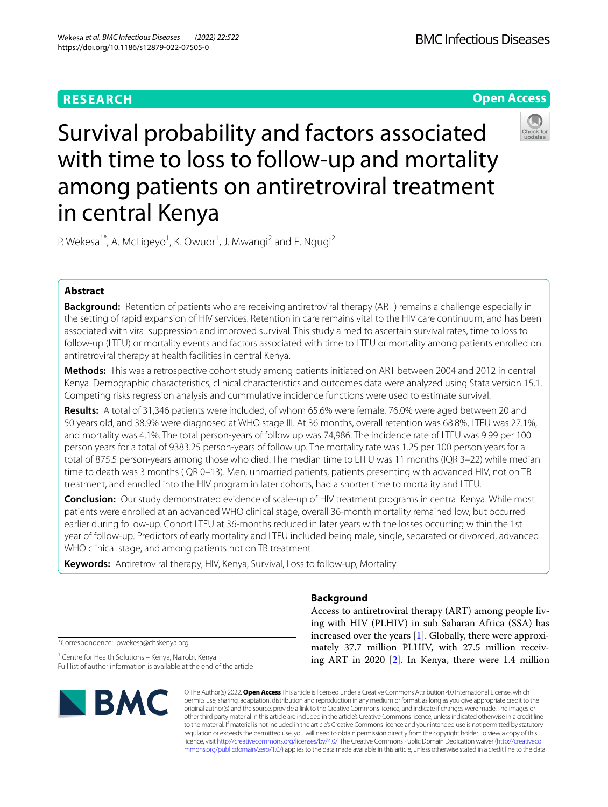# **RESEARCH**





# Survival probability and factors associated with time to loss to follow-up and mortality among patients on antiretroviral treatment in central Kenya

P. Wekesa<sup>1\*</sup>, A. McLigeyo<sup>1</sup>, K. Owuor<sup>1</sup>, J. Mwangi<sup>2</sup> and E. Ngugi<sup>2</sup>

# **Abstract**

**Background:** Retention of patients who are receiving antiretroviral therapy (ART) remains a challenge especially in the setting of rapid expansion of HIV services. Retention in care remains vital to the HIV care continuum, and has been associated with viral suppression and improved survival. This study aimed to ascertain survival rates, time to loss to follow-up (LTFU) or mortality events and factors associated with time to LTFU or mortality among patients enrolled on antiretroviral therapy at health facilities in central Kenya.

**Methods:** This was a retrospective cohort study among patients initiated on ART between 2004 and 2012 in central Kenya. Demographic characteristics, clinical characteristics and outcomes data were analyzed using Stata version 15.1. Competing risks regression analysis and cummulative incidence functions were used to estimate survival.

**Results:** A total of 31,346 patients were included, of whom 65.6% were female, 76.0% were aged between 20 and 50 years old, and 38.9% were diagnosed at WHO stage III. At 36 months, overall retention was 68.8%, LTFU was 27.1%, and mortality was 4.1%. The total person-years of follow up was 74,986. The incidence rate of LTFU was 9.99 per 100 person years for a total of 9383.25 person-years of follow up. The mortality rate was 1.25 per 100 person years for a total of 875.5 person-years among those who died. The median time to LTFU was 11 months (IQR 3–22) while median time to death was 3 months (IQR 0-13). Men, unmarried patients, patients presenting with advanced HIV, not on TB treatment, and enrolled into the HIV program in later cohorts, had a shorter time to mortality and LTFU.

**Conclusion:** Our study demonstrated evidence of scale-up of HIV treatment programs in central Kenya. While most patients were enrolled at an advanced WHO clinical stage, overall 36-month mortality remained low, but occurred earlier during follow-up. Cohort LTFU at 36-months reduced in later years with the losses occurring within the 1st year of follow-up. Predictors of early mortality and LTFU included being male, single, separated or divorced, advanced WHO clinical stage, and among patients not on TB treatment.

**Keywords:** Antiretroviral therapy, HIV, Kenya, Survival, Loss to follow-up, Mortality

# **Background**

Access to antiretroviral therapy (ART) among people living with HIV (PLHIV) in sub Saharan Africa (SSA) has increased over the years [[1\]](#page-8-0). Globally, there were approximately 37.7 million PLHIV, with 27.5 million receiving ART in 2020 [[2](#page-8-1)]. In Kenya, there were 1.4 million

\*Correspondence: pwekesa@chskenya.org

<sup>1</sup> Centre for Health Solutions - Kenya, Nairobi, Kenya Full list of author information is available at the end of the article



© The Author(s) 2022. **Open Access** This article is licensed under a Creative Commons Attribution 4.0 International License, which permits use, sharing, adaptation, distribution and reproduction in any medium or format, as long as you give appropriate credit to the original author(s) and the source, provide a link to the Creative Commons licence, and indicate if changes were made. The images or other third party material in this article are included in the article's Creative Commons licence, unless indicated otherwise in a credit line to the material. If material is not included in the article's Creative Commons licence and your intended use is not permitted by statutory regulation or exceeds the permitted use, you will need to obtain permission directly from the copyright holder. To view a copy of this licence, visit [http://creativecommons.org/licenses/by/4.0/.](http://creativecommons.org/licenses/by/4.0/) The Creative Commons Public Domain Dedication waiver ([http://creativeco](http://creativecommons.org/publicdomain/zero/1.0/) [mmons.org/publicdomain/zero/1.0/](http://creativecommons.org/publicdomain/zero/1.0/)) applies to the data made available in this article, unless otherwise stated in a credit line to the data.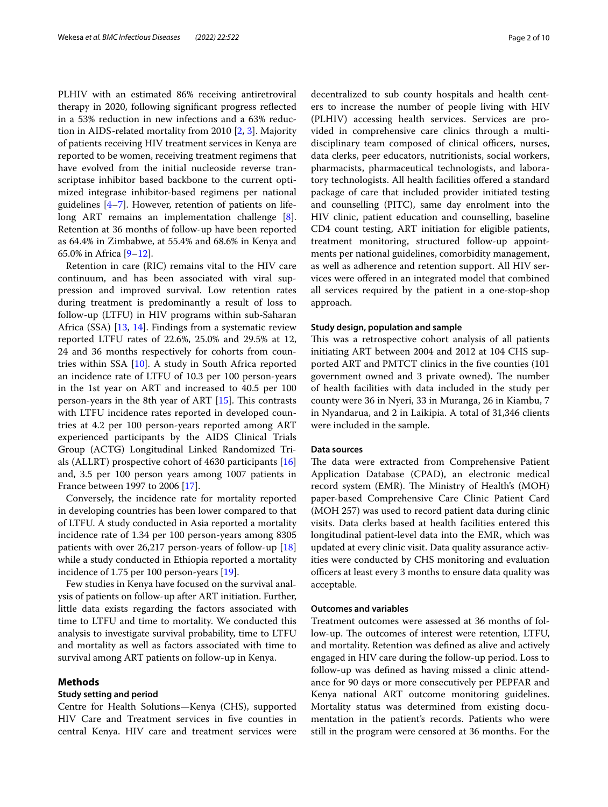PLHIV with an estimated 86% receiving antiretroviral therapy in 2020, following signifcant progress refected in a 53% reduction in new infections and a 63% reduction in AIDS-related mortality from 2010 [\[2](#page-8-1), [3](#page-8-2)]. Majority of patients receiving HIV treatment services in Kenya are reported to be women, receiving treatment regimens that have evolved from the initial nucleoside reverse transcriptase inhibitor based backbone to the current optimized integrase inhibitor-based regimens per national guidelines [[4–](#page-8-3)[7\]](#page-8-4). However, retention of patients on life-long ART remains an implementation challenge [\[8](#page-8-5)]. Retention at 36 months of follow-up have been reported as 64.4% in Zimbabwe, at 55.4% and 68.6% in Kenya and 65.0% in Africa [\[9](#page-8-6)–[12\]](#page-8-7).

Retention in care (RIC) remains vital to the HIV care continuum, and has been associated with viral suppression and improved survival. Low retention rates during treatment is predominantly a result of loss to follow-up (LTFU) in HIV programs within sub-Saharan Africa (SSA) [[13,](#page-8-8) [14\]](#page-8-9). Findings from a systematic review reported LTFU rates of 22.6%, 25.0% and 29.5% at 12, 24 and 36 months respectively for cohorts from countries within SSA [[10\]](#page-8-10). A study in South Africa reported an incidence rate of LTFU of 10.3 per 100 person-years in the 1st year on ART and increased to 40.5 per 100 person-years in the 8th year of ART  $[15]$ . This contrasts with LTFU incidence rates reported in developed countries at 4.2 per 100 person-years reported among ART experienced participants by the AIDS Clinical Trials Group (ACTG) Longitudinal Linked Randomized Trials (ALLRT) prospective cohort of 4630 participants [[16](#page-8-12)] and, 3.5 per 100 person years among 1007 patients in France between 1997 to 2006 [\[17\]](#page-8-13).

Conversely, the incidence rate for mortality reported in developing countries has been lower compared to that of LTFU. A study conducted in Asia reported a mortality incidence rate of 1.34 per 100 person-years among 8305 patients with over 26,217 person-years of follow-up [[18](#page-8-14)] while a study conducted in Ethiopia reported a mortality incidence of 1.75 per 100 person-years [\[19\]](#page-8-15).

Few studies in Kenya have focused on the survival analysis of patients on follow-up after ART initiation. Further, little data exists regarding the factors associated with time to LTFU and time to mortality. We conducted this analysis to investigate survival probability, time to LTFU and mortality as well as factors associated with time to survival among ART patients on follow-up in Kenya.

#### **Methods**

## **Study setting and period**

Centre for Health Solutions—Kenya (CHS), supported HIV Care and Treatment services in fve counties in central Kenya. HIV care and treatment services were decentralized to sub county hospitals and health centers to increase the number of people living with HIV (PLHIV) accessing health services. Services are provided in comprehensive care clinics through a multidisciplinary team composed of clinical officers, nurses, data clerks, peer educators, nutritionists, social workers, pharmacists, pharmaceutical technologists, and laboratory technologists. All health facilities offered a standard package of care that included provider initiated testing and counselling (PITC), same day enrolment into the HIV clinic, patient education and counselling, baseline CD4 count testing, ART initiation for eligible patients, treatment monitoring, structured follow-up appointments per national guidelines, comorbidity management, as well as adherence and retention support. All HIV services were offered in an integrated model that combined all services required by the patient in a one-stop-shop approach.

#### **Study design, population and sample**

This was a retrospective cohort analysis of all patients initiating ART between 2004 and 2012 at 104 CHS supported ART and PMTCT clinics in the fve counties (101 government owned and 3 private owned). The number of health facilities with data included in the study per county were 36 in Nyeri, 33 in Muranga, 26 in Kiambu, 7 in Nyandarua, and 2 in Laikipia. A total of 31,346 clients were included in the sample.

## **Data sources**

The data were extracted from Comprehensive Patient Application Database (CPAD), an electronic medical record system (EMR). The Ministry of Health's (MOH) paper-based Comprehensive Care Clinic Patient Card (MOH 257) was used to record patient data during clinic visits. Data clerks based at health facilities entered this longitudinal patient-level data into the EMR, which was updated at every clinic visit. Data quality assurance activities were conducted by CHS monitoring and evaluation officers at least every 3 months to ensure data quality was acceptable.

# **Outcomes and variables**

Treatment outcomes were assessed at 36 months of follow-up. The outcomes of interest were retention, LTFU, and mortality. Retention was defned as alive and actively engaged in HIV care during the follow-up period. Loss to follow-up was defned as having missed a clinic attendance for 90 days or more consecutively per PEPFAR and Kenya national ART outcome monitoring guidelines. Mortality status was determined from existing documentation in the patient's records. Patients who were still in the program were censored at 36 months. For the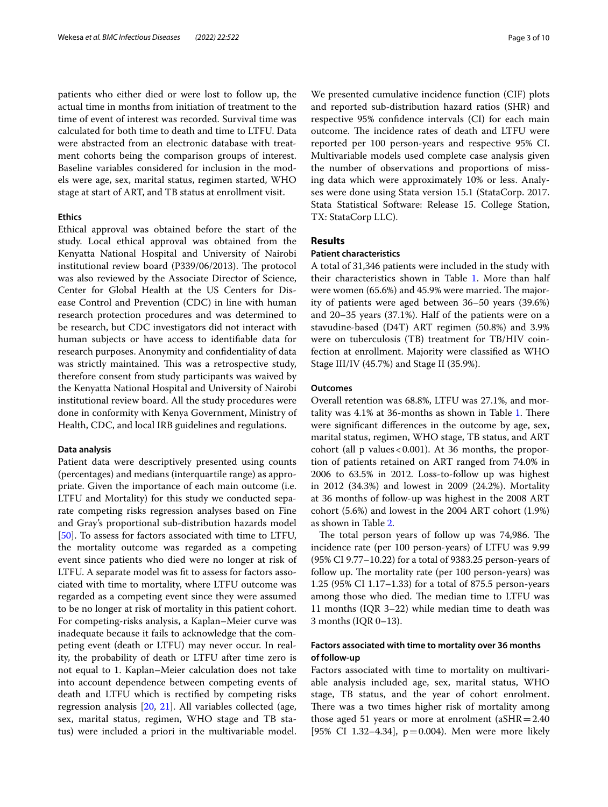patients who either died or were lost to follow up, the actual time in months from initiation of treatment to the time of event of interest was recorded. Survival time was calculated for both time to death and time to LTFU. Data were abstracted from an electronic database with treatment cohorts being the comparison groups of interest. Baseline variables considered for inclusion in the models were age, sex, marital status, regimen started, WHO stage at start of ART, and TB status at enrollment visit.

# **Ethics**

Ethical approval was obtained before the start of the study. Local ethical approval was obtained from the Kenyatta National Hospital and University of Nairobi institutional review board (P339/06/2013). The protocol was also reviewed by the Associate Director of Science, Center for Global Health at the US Centers for Disease Control and Prevention (CDC) in line with human research protection procedures and was determined to be research, but CDC investigators did not interact with human subjects or have access to identifable data for research purposes. Anonymity and confdentiality of data was strictly maintained. This was a retrospective study, therefore consent from study participants was waived by the Kenyatta National Hospital and University of Nairobi institutional review board. All the study procedures were done in conformity with Kenya Government, Ministry of Health, CDC, and local IRB guidelines and regulations.

## **Data analysis**

Patient data were descriptively presented using counts (percentages) and medians (interquartile range) as appropriate. Given the importance of each main outcome (i.e. LTFU and Mortality) for this study we conducted separate competing risks regression analyses based on Fine and Gray's proportional sub-distribution hazards model [[50\]](#page-9-0). To assess for factors associated with time to LTFU, the mortality outcome was regarded as a competing event since patients who died were no longer at risk of LTFU. A separate model was ft to assess for factors associated with time to mortality, where LTFU outcome was regarded as a competing event since they were assumed to be no longer at risk of mortality in this patient cohort. For competing-risks analysis, a Kaplan–Meier curve was inadequate because it fails to acknowledge that the competing event (death or LTFU) may never occur. In reality, the probability of death or LTFU after time zero is not equal to 1. Kaplan–Meier calculation does not take into account dependence between competing events of death and LTFU which is rectifed by competing risks regression analysis [\[20,](#page-8-16) [21\]](#page-8-17). All variables collected (age, sex, marital status, regimen, WHO stage and TB status) were included a priori in the multivariable model.

We presented cumulative incidence function (CIF) plots and reported sub-distribution hazard ratios (SHR) and respective 95% confdence intervals (CI) for each main outcome. The incidence rates of death and LTFU were reported per 100 person-years and respective 95% CI. Multivariable models used complete case analysis given the number of observations and proportions of missing data which were approximately 10% or less. Analyses were done using Stata version 15.1 (StataCorp. 2017. Stata Statistical Software: Release 15. College Station, TX: StataCorp LLC).

## **Results**

# **Patient characteristics**

A total of 31,346 patients were included in the study with their characteristics shown in Table [1](#page-3-0). More than half were women  $(65.6%)$  and  $45.9%$  were married. The majority of patients were aged between 36–50 years (39.6%) and 20–35 years (37.1%). Half of the patients were on a stavudine-based (D4T) ART regimen (50.8%) and 3.9% were on tuberculosis (TB) treatment for TB/HIV coinfection at enrollment. Majority were classifed as WHO Stage III/IV (45.7%) and Stage II (35.9%).

## **Outcomes**

Overall retention was 68.8%, LTFU was 27.1%, and mortality was  $4.1\%$  at 36-months as shown in Table [1.](#page-3-0) There were signifcant diferences in the outcome by age, sex, marital status, regimen, WHO stage, TB status, and ART cohort (all p values<0.001). At 36 months, the proportion of patients retained on ART ranged from 74.0% in 2006 to 63.5% in 2012. Loss-to-follow up was highest in 2012 (34.3%) and lowest in 2009 (24.2%). Mortality at 36 months of follow-up was highest in the 2008 ART cohort (5.6%) and lowest in the 2004 ART cohort (1.9%) as shown in Table [2](#page-4-0).

The total person years of follow up was 74,986. The incidence rate (per 100 person-years) of LTFU was 9.99 (95% CI 9.77–10.22) for a total of 9383.25 person-years of follow up. The mortality rate (per 100 person-years) was 1.25 (95% CI 1.17–1.33) for a total of 875.5 person-years among those who died. The median time to LTFU was 11 months (IQR 3–22) while median time to death was 3 months (IQR 0–13).

# **Factors associated with time to mortality over 36 months of follow‑up**

Factors associated with time to mortality on multivariable analysis included age, sex, marital status, WHO stage, TB status, and the year of cohort enrolment. There was a two times higher risk of mortality among those aged 51 years or more at enrolment  $(aSHR=2.40$ [95% CI 1.32–4.34],  $p=0.004$ ). Men were more likely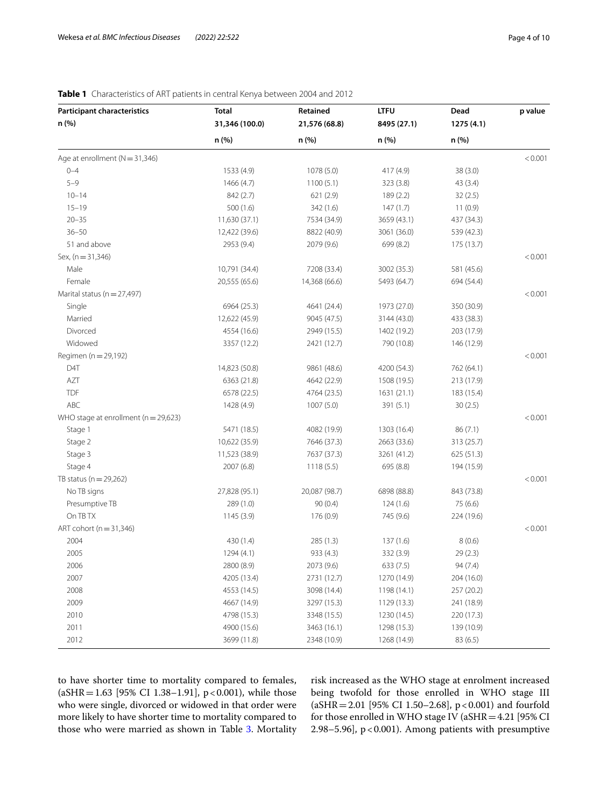| <b>Participant characteristics</b>       | <b>Total</b>   | Retained      | <b>LTFU</b> | Dead       | p value |
|------------------------------------------|----------------|---------------|-------------|------------|---------|
| n (%)                                    | 31,346 (100.0) | 21,576 (68.8) | 8495 (27.1) | 1275 (4.1) |         |
|                                          | n (%)          | n (%)         | n (%)       | n (%)      |         |
| Age at enrollment $(N = 31,346)$         |                |               |             |            | < 0.001 |
| $0 - 4$                                  | 1533 (4.9)     | 1078 (5.0)    | 417 (4.9)   | 38(3.0)    |         |
| $5 - 9$                                  | 1466 (4.7)     | 1100(5.1)     | 323 (3.8)   | 43(3.4)    |         |
| $10 - 14$                                | 842 (2.7)      | 621 (2.9)     | 189(2.2)    | 32(2.5)    |         |
| $15 - 19$                                | 500(1.6)       | 342 (1.6)     | 147(1.7)    | 11(0.9)    |         |
| $20 - 35$                                | 11,630 (37.1)  | 7534 (34.9)   | 3659 (43.1) | 437 (34.3) |         |
| $36 - 50$                                | 12,422 (39.6)  | 8822 (40.9)   | 3061 (36.0) | 539 (42.3) |         |
| 51 and above                             | 2953 (9.4)     | 2079 (9.6)    | 699 (8.2)   | 175 (13.7) |         |
| Sex, (n = 31,346)                        |                |               |             |            | < 0.001 |
| Male                                     | 10,791 (34.4)  | 7208 (33.4)   | 3002 (35.3) | 581 (45.6) |         |
| Female                                   | 20,555 (65.6)  | 14,368 (66.6) | 5493 (64.7) | 694 (54.4) |         |
| Marital status (n = 27,497)              |                |               |             |            | < 0.001 |
| Single                                   | 6964 (25.3)    | 4641 (24.4)   | 1973 (27.0) | 350 (30.9) |         |
| Married                                  | 12,622 (45.9)  | 9045 (47.5)   | 3144 (43.0) | 433 (38.3) |         |
| Divorced                                 | 4554 (16.6)    | 2949 (15.5)   | 1402 (19.2) | 203 (17.9) |         |
| Widowed                                  | 3357 (12.2)    | 2421 (12.7)   | 790 (10.8)  | 146 (12.9) |         |
| Regimen (n = 29,192)                     |                |               |             |            | < 0.001 |
| D4T                                      | 14,823 (50.8)  | 9861 (48.6)   | 4200 (54.3) | 762 (64.1) |         |
| AZT                                      | 6363 (21.8)    | 4642 (22.9)   | 1508 (19.5) | 213 (17.9) |         |
| <b>TDF</b>                               | 6578 (22.5)    | 4764 (23.5)   | 1631(21.1)  | 183 (15.4) |         |
| ABC                                      | 1428 (4.9)     | 1007 (5.0)    | 391 (5.1)   | 30(2.5)    |         |
| WHO stage at enrollment ( $n = 29,623$ ) |                |               |             |            | < 0.001 |
| Stage 1                                  | 5471 (18.5)    | 4082 (19.9)   | 1303 (16.4) | 86 (7.1)   |         |
| Stage 2                                  | 10,622 (35.9)  | 7646 (37.3)   | 2663 (33.6) | 313 (25.7) |         |
| Stage 3                                  | 11,523 (38.9)  | 7637 (37.3)   | 3261 (41.2) | 625 (51.3) |         |
| Stage 4                                  | 2007 (6.8)     | 1118(5.5)     | 695 (8.8)   | 194 (15.9) |         |
| TB status ( $n = 29,262$ )               |                |               |             |            | < 0.001 |
| No TB signs                              | 27,828 (95.1)  | 20,087 (98.7) | 6898 (88.8) | 843 (73.8) |         |
| Presumptive TB                           | 289 (1.0)      | 90(0.4)       | 124(1.6)    | 75 (6.6)   |         |
| On TB TX                                 | 1145(3.9)      | 176 (0.9)     | 745 (9.6)   | 224 (19.6) |         |
| ART cohort (n = 31,346)                  |                |               |             |            | < 0.001 |
| 2004                                     | 430 (1.4)      | 285 (1.3)     | 137(1.6)    | 8(0.6)     |         |
| 2005                                     | 1294 (4.1)     | 933 (4.3)     | 332 (3.9)   | 29(2.3)    |         |
| 2006                                     | 2800 (8.9)     | 2073 (9.6)    | 633(7.5)    | 94(7.4)    |         |
| 2007                                     | 4205 (13.4)    | 2731 (12.7)   | 1270 (14.9) | 204 (16.0) |         |
| 2008                                     | 4553 (14.5)    | 3098 (14.4)   | 1198 (14.1) | 257 (20.2) |         |
| 2009                                     | 4667 (14.9)    | 3297 (15.3)   | 1129 (13.3) | 241 (18.9) |         |
| 2010                                     | 4798 (15.3)    | 3348 (15.5)   | 1230 (14.5) | 220 (17.3) |         |
| 2011                                     | 4900 (15.6)    | 3463 (16.1)   | 1298 (15.3) | 139 (10.9) |         |
| 2012                                     | 3699 (11.8)    | 2348 (10.9)   | 1268 (14.9) | 83(6.5)    |         |

# <span id="page-3-0"></span>**Table 1** Characteristics of ART patients in central Kenya between 2004 and 2012

to have shorter time to mortality compared to females, (aSHR = 1.63 [95% CI 1.38–1.91], p < 0.001), while those who were single, divorced or widowed in that order were more likely to have shorter time to mortality compared to those who were married as shown in Table [3](#page-5-0). Mortality risk increased as the WHO stage at enrolment increased being twofold for those enrolled in WHO stage III  $(aSHR = 2.01$  [95% CI 1.50–2.68], p < 0.001) and fourfold for those enrolled in WHO stage IV (aSHR=4.21 [95% CI 2.98–5.96], p<0.001). Among patients with presumptive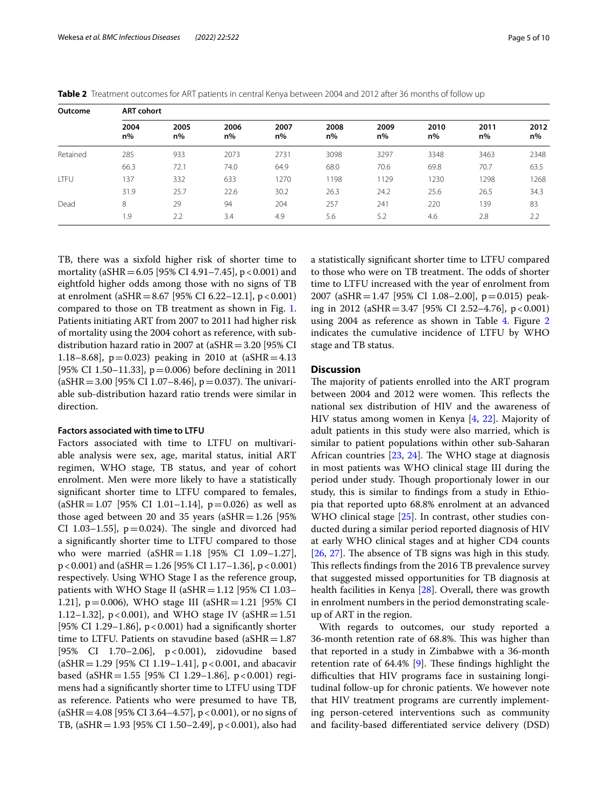| Outcome  |               | <b>ART cohort</b> |            |               |               |            |            |            |            |  |  |
|----------|---------------|-------------------|------------|---------------|---------------|------------|------------|------------|------------|--|--|
|          | 2004<br>$n\%$ | 2005<br>n%        | 2006<br>n% | 2007<br>$n\%$ | 2008<br>$n\%$ | 2009<br>n% | 2010<br>n% | 2011<br>n% | 2012<br>n% |  |  |
| Retained | 285           | 933               | 2073       | 2731          | 3098          | 3297       | 3348       | 3463       | 2348       |  |  |
|          | 66.3          | 72.1              | 74.0       | 64.9          | 68.0          | 70.6       | 69.8       | 70.7       | 63.5       |  |  |
| LTFU     | 137           | 332               | 633        | 1270          | 1198          | 1129       | 1230       | 1298       | 1268       |  |  |
|          | 31.9          | 25.7              | 22.6       | 30.2          | 26.3          | 24.2       | 25.6       | 26.5       | 34.3       |  |  |
| Dead     | 8             | 29                | 94         | 204           | 257           | 241        | 220        | 139        | 83         |  |  |
|          | 1.9           | 2.2               | 3.4        | 4.9           | 5.6           | 5.2        | 4.6        | 2.8        | 2.2        |  |  |

<span id="page-4-0"></span>**Table 2** Treatment outcomes for ART patients in central Kenya between 2004 and 2012 after 36 months of follow up

TB, there was a sixfold higher risk of shorter time to mortality (aSHR =  $6.05$  [95% CI 4.91-7.45], p < 0.001) and eightfold higher odds among those with no signs of TB at enrolment (aSHR = 8.67 [95% CI 6.22–12.1],  $p < 0.001$ ) compared to those on TB treatment as shown in Fig. [1](#page-5-1). Patients initiating ART from 2007 to 2011 had higher risk of mortality using the 2004 cohort as reference, with subdistribution hazard ratio in 2007 at (aSHR=3.20 [95% CI 1.18–8.68],  $p=0.023$  peaking in 2010 at (aSHR = 4.13) [95% CI 1.50–11.33],  $p=0.006$ ) before declining in 2011  $(aSHR = 3.00$  [95% CI 1.07–8.46], p = 0.037). The univariable sub-distribution hazard ratio trends were similar in direction.

## **Factors associated with time to LTFU**

Factors associated with time to LTFU on multivariable analysis were sex, age, marital status, initial ART regimen, WHO stage, TB status, and year of cohort enrolment. Men were more likely to have a statistically signifcant shorter time to LTFU compared to females,  $(aSHR=1.07$  [95% CI 1.01–1.14], p=0.026) as well as those aged between 20 and 35 years ( $aSHR=1.26$  [95% CI 1.03–1.55],  $p=0.024$ ). The single and divorced had a signifcantly shorter time to LTFU compared to those who were married  $(aSHR=1.18 \, [95\% \, CI \, 1.09-1.27]$ , p<0.001) and (aSHR=1.26 [95% CI 1.17–1.36], p<0.001) respectively. Using WHO Stage I as the reference group, patients with WHO Stage II ( $aSHR=1.12$  [95% CI 1.03– 1.21], p=0.006), WHO stage III (aSHR=1.21 [95% CI 1.12–1.32],  $p < 0.001$ ), and WHO stage IV (aSHR = 1.51) [95% CI 1.29–1.86], p<0.001) had a signifcantly shorter time to LTFU. Patients on stavudine based  $(aSHR=1.87)$ [95% CI 1.70–2.06], p<0.001), zidovudine based  $(aSHR=1.29$  [95% CI 1.19–1.41], p<0.001, and abacavir based (aSHR = 1.55 [95% CI 1.29–1.86], p < 0.001) regimens had a signifcantly shorter time to LTFU using TDF as reference. Patients who were presumed to have TB,  $(aSHR = 4.08 [95\% CI 3.64-4.57], p < 0.001$ , or no signs of TB, (aSHR = 1.93 [95% CI 1.50–2.49], p < 0.001), also had a statistically signifcant shorter time to LTFU compared to those who were on TB treatment. The odds of shorter time to LTFU increased with the year of enrolment from 2007 (aSHR = 1.47 [95% CI 1.08–2.00], p=0.015) peaking in 2012 (aSHR = 3.47 [95% CI 2.52–4.76],  $p < 0.001$ ) using 200[4](#page-6-0) as reference as shown in Table 4. Figure [2](#page-6-1) indicates the cumulative incidence of LTFU by WHO stage and TB status.

# **Discussion**

The majority of patients enrolled into the ART program between 2004 and 2012 were women. This reflects the national sex distribution of HIV and the awareness of HIV status among women in Kenya [\[4](#page-8-3), [22\]](#page-8-18). Majority of adult patients in this study were also married, which is similar to patient populations within other sub-Saharan African countries  $[23, 24]$  $[23, 24]$  $[23, 24]$  $[23, 24]$  $[23, 24]$ . The WHO stage at diagnosis in most patients was WHO clinical stage III during the period under study. Though proportionaly lower in our study, this is similar to fndings from a study in Ethiopia that reported upto 68.8% enrolment at an advanced WHO clinical stage [\[25\]](#page-8-21). In contrast, other studies conducted during a similar period reported diagnosis of HIV at early WHO clinical stages and at higher CD4 counts  $[26, 27]$  $[26, 27]$  $[26, 27]$  $[26, 27]$ . The absence of TB signs was high in this study. This reflects findings from the 2016 TB prevalence survey that suggested missed opportunities for TB diagnosis at health facilities in Kenya [[28\]](#page-9-3). Overall, there was growth in enrolment numbers in the period demonstrating scaleup of ART in the region.

With regards to outcomes, our study reported a 36-month retention rate of 68.8%. This was higher than that reported in a study in Zimbabwe with a 36-month retention rate of  $64.4\%$  [[9\]](#page-8-6). These findings highlight the difculties that HIV programs face in sustaining longitudinal follow-up for chronic patients. We however note that HIV treatment programs are currently implementing person-cetered interventions such as community and facility-based diferentiated service delivery (DSD)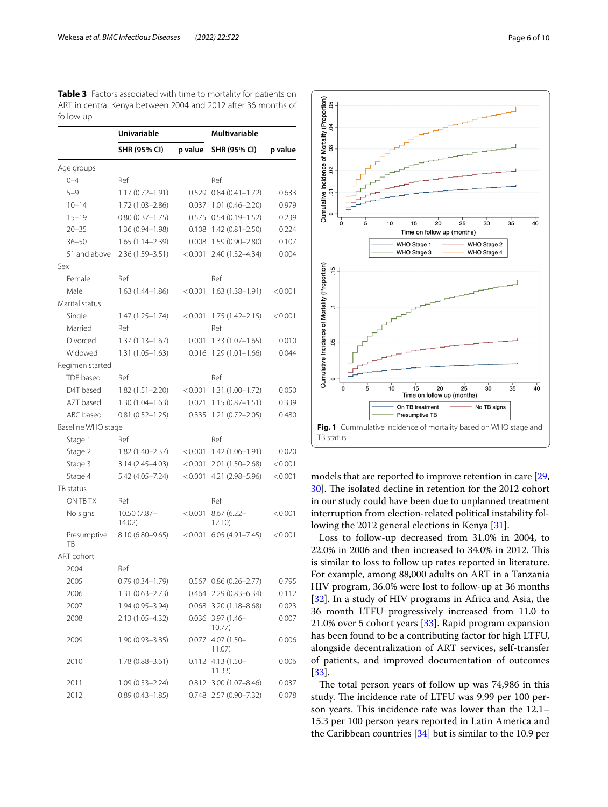<span id="page-5-0"></span>

| <b>Table 3</b> Factors associated with time to mortality for patients on |  |  |
|--------------------------------------------------------------------------|--|--|
| ART in central Kenya between 2004 and 2012 after 36 months of            |  |  |
| follow up                                                                |  |  |

|                    | Univariable           |         | <b>Multivariable</b>          |         |  |
|--------------------|-----------------------|---------|-------------------------------|---------|--|
|                    | SHR (95% CI)          | p value | SHR (95% CI)                  | p value |  |
| Age groups         |                       |         |                               |         |  |
| $0 - 4$            | Ref                   |         | Ref                           |         |  |
| $5 - 9$            | $1.17(0.72 - 1.91)$   | 0.529   | $0.84(0.41 - 1.72)$           | 0.633   |  |
| $10 - 14$          | 1.72 (1.03-2.86)      | 0.037   | $1.01(0.46 - 2.20)$           | 0.979   |  |
| $15 - 19$          | $0.80(0.37 - 1.75)$   | 0.575   | $0.54(0.19 - 1.52)$           | 0.239   |  |
| $20 - 35$          | 1.36 (0.94-1.98)      | 0.108   | $1.42(0.81 - 2.50)$           | 0.224   |  |
| $36 - 50$          | $1.65(1.14 - 2.39)$   | 0.008   | $1.59(0.90 - 2.80)$           | 0.107   |  |
| 51 and above       | $2.36(1.59 - 3.51)$   | < 0.001 | 2.40 (1.32-4.34)              | 0.004   |  |
| Sex                |                       |         |                               |         |  |
| Female             | Ref                   |         | Ref                           |         |  |
| Male               | $1.63(1.44 - 1.86)$   | < 0.001 | $1.63(1.38-1.91)$             | < 0.001 |  |
| Marital status     |                       |         |                               |         |  |
| Single             | $1.47(1.25 - 1.74)$   | < 0.001 | $1.75(1.42 - 2.15)$           | < 0.001 |  |
| Married            | Ref                   |         | Ref                           |         |  |
| Divorced           | $1.37(1.13 - 1.67)$   | 0.001   | $1.33(1.07 - 1.65)$           | 0.010   |  |
| Widowed            | $1.31(1.05 - 1.63)$   | 0.016   | $1.29(1.01 - 1.66)$           | 0.044   |  |
| Regimen started    |                       |         |                               |         |  |
| TDF based          | Ref                   |         | Ref                           |         |  |
| D4T based          | $1.82(1.51 - 2.20)$   | < 0.001 | $1.31(1.00 - 1.72)$           | 0.050   |  |
| AZT based          | $1.30(1.04 - 1.63)$   | 0.021   | $1.15(0.87 - 1.51)$           | 0.339   |  |
| ABC based          | $0.81(0.52 - 1.25)$   | 0.335   | $1.21(0.72 - 2.05)$           | 0.480   |  |
| Baseline WHO stage |                       |         |                               |         |  |
| Stage 1            | Ref                   |         | Ref                           |         |  |
| Stage 2            | 1.82 (1.40–2.37)      | < 0.001 | $1.42(1.06 - 1.91)$           | 0.020   |  |
| Stage 3            | $3.14(2.45 - 4.03)$   | < 0.001 | 2.01 (1.50–2.68)              | < 0.001 |  |
| Stage 4            | 5.42 (4.05-7.24)      | < 0.001 | 4.21 (2.98-5.96)              | < 0.001 |  |
| TB status          |                       |         |                               |         |  |
| ON TB TX           | Ref                   |         | Ref                           |         |  |
| No signs           | 10.50 (7.87-<br>14.02 | < 0.001 | $8.67(6.22 -$<br>12.10        | < 0.001 |  |
| Presumptive<br>ТB  | 8.10 (6.80-9.65)      | < 0.001 | $6.05(4.91 - 7.45)$           | < 0.001 |  |
| ART cohort         |                       |         |                               |         |  |
| 2004               | Ref                   |         |                               |         |  |
| 2005               | $0.79(0.34 - 1.79)$   |         | $0.567$ $0.86$ $(0.26-2.77)$  | 0.795   |  |
| 2006               | $1.31(0.63 - 2.73)$   |         | 0.464 2.29 (0.83-6.34)        | 0.112   |  |
| 2007               | 1.94 (0.95-3.94)      |         | $0.068$ 3.20 (1.18-8.68)      | 0.023   |  |
| 2008               | 2.13 (1.05-4.32)      | 0.036   | 3.97 (1.46-<br>10.77          | 0.007   |  |
| 2009               | $1.90(0.93 - 3.85)$   | 0.077   | 4.07 (1.50-<br>11.07)         | 0.006   |  |
| 2010               | $1.78(0.88 - 3.61)$   |         | $0.112$ 4.13 (1.50-<br>11.33) | 0.006   |  |
| 2011               | $1.09(0.53 - 2.24)$   | 0.812   | 3.00 (1.07-8.46)              | 0.037   |  |
| 2012               | $0.89(0.43 - 1.85)$   |         | 0.748 2.57 (0.90-7.32)        | 0.078   |  |



<span id="page-5-1"></span>models that are reported to improve retention in care [[29](#page-9-4), [30\]](#page-9-5). The isolated decline in retention for the 2012 cohort in our study could have been due to unplanned treatment interruption from election-related political instability following the 2012 general elections in Kenya [[31\]](#page-9-6).

Loss to follow-up decreased from 31.0% in 2004, to 22.0% in 2006 and then increased to 34.0% in 2012. This is similar to loss to follow up rates reported in literature. For example, among 88,000 adults on ART in a Tanzania HIV program, 36.0% were lost to follow-up at 36 months [[32\]](#page-9-7). In a study of HIV programs in Africa and Asia, the 36 month LTFU progressively increased from 11.0 to 21.0% over 5 cohort years [\[33](#page-9-8)]. Rapid program expansion has been found to be a contributing factor for high LTFU, alongside decentralization of ART services, self-transfer of patients, and improved documentation of outcomes [[33\]](#page-9-8).

The total person years of follow up was 74,986 in this study. The incidence rate of LTFU was 9.99 per 100 person years. This incidence rate was lower than the 12.1– 15.3 per 100 person years reported in Latin America and the Caribbean countries [[34\]](#page-9-9) but is similar to the 10.9 per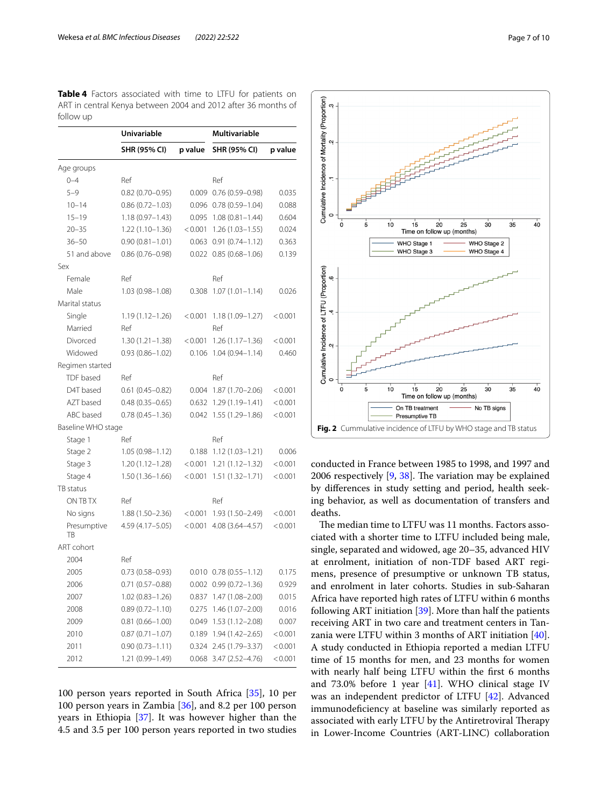<span id="page-6-0"></span>

|           | Table 4 Factors associated with time to LTFU for patients on  |  |  |  |  |
|-----------|---------------------------------------------------------------|--|--|--|--|
|           | ART in central Kenya between 2004 and 2012 after 36 months of |  |  |  |  |
| follow up |                                                               |  |  |  |  |

|                    | <b>Univariable</b>  |         | <b>Multivariable</b>           |         |  |
|--------------------|---------------------|---------|--------------------------------|---------|--|
|                    | SHR (95% CI)        | p value | SHR (95% CI)                   | p value |  |
| Age groups         |                     |         |                                |         |  |
| $0 - 4$            | Ref                 |         | Ref                            |         |  |
| $5 - 9$            | $0.82(0.70 - 0.95)$ |         | $0.009$ $0.76$ $(0.59-0.98)$   | 0.035   |  |
| $10 - 14$          | $0.86(0.72 - 1.03)$ |         | $0.096$ $0.78$ $(0.59-1.04)$   | 0.088   |  |
| $15 - 19$          | $1.18(0.97 - 1.43)$ | 0.095   | $1.08(0.81 - 1.44)$            | 0.604   |  |
| $20 - 35$          | $1.22(1.10-1.36)$   | < 0.001 | $1.26(1.03 - 1.55)$            | 0.024   |  |
| $36 - 50$          | $0.90(0.81 - 1.01)$ |         | $0.063$ $0.91$ $(0.74-1.12)$   | 0.363   |  |
| 51 and above       | $0.86(0.76 - 0.98)$ |         | $0.022$ $0.85$ $(0.68 - 1.06)$ | 0.139   |  |
| Sex                |                     |         |                                |         |  |
| Female             | Ref                 |         | Ref                            |         |  |
| Male               | $1.03(0.98 - 1.08)$ | 0.308   | $1.07(1.01 - 1.14)$            | 0.026   |  |
| Marital status     |                     |         |                                |         |  |
| Single             | $1.19(1.12 - 1.26)$ | < 0.001 | $1.18(1.09 - 1.27)$            | < 0.001 |  |
| Married            | Ref                 |         | Ref                            |         |  |
| Divorced           | $1.30(1.21 - 1.38)$ | < 0.001 | $1.26(1.17-1.36)$              | < 0.001 |  |
| Widowed            | $0.93(0.86 - 1.02)$ | 0.106   | $1.04(0.94 - 1.14)$            | 0.460   |  |
| Regimen started    |                     |         |                                |         |  |
| TDF based          | Ref                 |         | Ref                            |         |  |
| D4T based          | $0.61(0.45 - 0.82)$ | 0.004   | $1.87(1.70 - 2.06)$            | < 0.001 |  |
| AZT based          | $0.48(0.35 - 0.65)$ | 0.632   | $1.29(1.19 - 1.41)$            | < 0.001 |  |
| ABC based          | $0.78(0.45 - 1.36)$ | 0.042   | $1.55(1.29 - 1.86)$            | < 0.001 |  |
| Baseline WHO stage |                     |         |                                |         |  |
| Stage 1            | Ref                 |         | Ref                            |         |  |
| Stage 2            | $1.05(0.98 - 1.12)$ | 0.188   | $1.12(1.03 - 1.21)$            | 0.006   |  |
| Stage 3            | $1.20(1.12 - 1.28)$ | < 0.001 | $1.21(1.12 - 1.32)$            | < 0.001 |  |
| Stage 4            | $1.50(1.36 - 1.66)$ | < 0.001 | $1.51(1.32 - 1.71)$            | < 0.001 |  |
| TB status          |                     |         |                                |         |  |
| ON TB TX           | Ref                 |         | Ref                            |         |  |
| No signs           | $1.88(1.50 - 2.36)$ | < 0.001 | $1.93(1.50 - 2.49)$            | < 0.001 |  |
| Presumptive<br>TB  | 4.59 (4.17 - 5.05)  | < 0.001 | 4.08 (3.64-4.57)               | < 0.001 |  |
| ART cohort         |                     |         |                                |         |  |
| 2004               | Ref                 |         |                                |         |  |
| 2005               | $0.73(0.58 - 0.93)$ |         | $0.010$ $0.78$ $(0.55-1.12)$   | 0.175   |  |
| 2006               | $0.71(0.57 - 0.88)$ |         | $0.002$ $0.99$ $(0.72-1.36)$   | 0.929   |  |
| 2007               | 1.02 (0.83–1.26)    |         | 0.837 1.47 (1.08-2.00)         | 0.015   |  |
| 2008               | $0.89(0.72 - 1.10)$ | 0.275   | $1.46(1.07 - 2.00)$            | 0.016   |  |
| 2009               | $0.81(0.66 - 1.00)$ | 0.049   | $1.53(1.12 - 2.08)$            | 0.007   |  |
| 2010               | $0.87(0.71 - 1.07)$ | 0.189   | $1.94(1.42 - 2.65)$            | < 0.001 |  |
| 2011               | $0.90(0.73 - 1.11)$ |         | $0.324$ $2.45$ $(1.79 - 3.37)$ | < 0.001 |  |
| 2012               | 1.21 (0.99-1.49)    |         | 0.068 3.47 (2.52-4.76)         | < 0.001 |  |

100 person years reported in South Africa [\[35\]](#page-9-10), 10 per 100 person years in Zambia [\[36](#page-9-11)], and 8.2 per 100 person years in Ethiopia [[37\]](#page-9-12). It was however higher than the 4.5 and 3.5 per 100 person years reported in two studies



<span id="page-6-1"></span>conducted in France between 1985 to 1998, and 1997 and 2006 respectively  $[9, 38]$  $[9, 38]$  $[9, 38]$  $[9, 38]$  $[9, 38]$ . The variation may be explained by diferences in study setting and period, health seeking behavior, as well as documentation of transfers and deaths.

The median time to LTFU was 11 months. Factors associated with a shorter time to LTFU included being male, single, separated and widowed, age 20–35, advanced HIV at enrolment, initiation of non-TDF based ART regimens, presence of presumptive or unknown TB status, and enrolment in later cohorts. Studies in sub-Saharan Africa have reported high rates of LTFU within 6 months following ART initiation [[39\]](#page-9-14). More than half the patients receiving ART in two care and treatment centers in Tanzania were LTFU within 3 months of ART initiation [\[40](#page-9-15)]. A study conducted in Ethiopia reported a median LTFU time of 15 months for men, and 23 months for women with nearly half being LTFU within the frst 6 months and 73.0% before 1 year [[41\]](#page-9-16). WHO clinical stage IV was an independent predictor of LTFU [\[42](#page-9-17)]. Advanced immunodefciency at baseline was similarly reported as associated with early LTFU by the Antiretroviral Therapy in Lower-Income Countries (ART-LINC) collaboration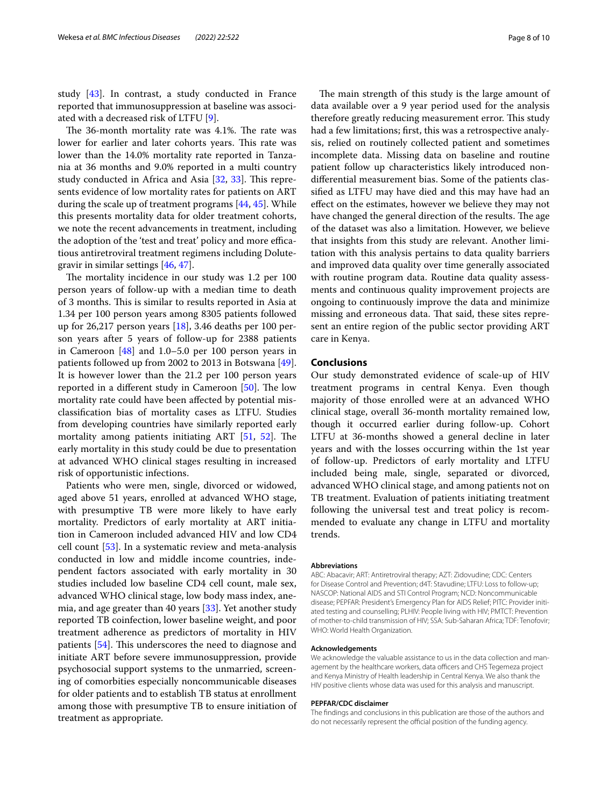study [\[43](#page-9-18)]. In contrast, a study conducted in France reported that immunosuppression at baseline was associated with a decreased risk of LTFU [\[9](#page-8-6)].

The 36-month mortality rate was 4.1%. The rate was lower for earlier and later cohorts years. This rate was lower than the 14.0% mortality rate reported in Tanzania at 36 months and 9.0% reported in a multi country study conducted in Africa and Asia  $[32, 33]$  $[32, 33]$  $[32, 33]$  $[32, 33]$  $[32, 33]$ . This represents evidence of low mortality rates for patients on ART during the scale up of treatment programs [[44,](#page-9-19) [45\]](#page-9-20). While this presents mortality data for older treatment cohorts, we note the recent advancements in treatment, including the adoption of the 'test and treat' policy and more efficatious antiretroviral treatment regimens including Dolutegravir in similar settings [[46,](#page-9-21) [47\]](#page-9-22).

The mortality incidence in our study was 1.2 per 100 person years of follow-up with a median time to death of 3 months. This is similar to results reported in Asia at 1.34 per 100 person years among 8305 patients followed up for 26,217 person years [\[18](#page-8-14)], 3.46 deaths per 100 person years after 5 years of follow-up for 2388 patients in Cameroon [\[48](#page-9-23)] and 1.0–5.0 per 100 person years in patients followed up from 2002 to 2013 in Botswana [\[49](#page-9-24)]. It is however lower than the 21.2 per 100 person years reported in a different study in Cameroon  $[50]$  $[50]$ . The low mortality rate could have been afected by potential misclassifcation bias of mortality cases as LTFU. Studies from developing countries have similarly reported early mortality among patients initiating ART  $[51, 52]$  $[51, 52]$  $[51, 52]$  $[51, 52]$ . The early mortality in this study could be due to presentation at advanced WHO clinical stages resulting in increased risk of opportunistic infections.

Patients who were men, single, divorced or widowed, aged above 51 years, enrolled at advanced WHO stage, with presumptive TB were more likely to have early mortality. Predictors of early mortality at ART initiation in Cameroon included advanced HIV and low CD4 cell count [\[53\]](#page-9-27). In a systematic review and meta-analysis conducted in low and middle income countries, independent factors associated with early mortality in 30 studies included low baseline CD4 cell count, male sex, advanced WHO clinical stage, low body mass index, anemia, and age greater than 40 years [\[33](#page-9-8)]. Yet another study reported TB coinfection, lower baseline weight, and poor treatment adherence as predictors of mortality in HIV patients [\[54](#page-9-28)]. This underscores the need to diagnose and initiate ART before severe immunosuppression, provide psychosocial support systems to the unmarried, screening of comorbities especially noncommunicable diseases for older patients and to establish TB status at enrollment among those with presumptive TB to ensure initiation of treatment as appropriate.

The main strength of this study is the large amount of data available over a 9 year period used for the analysis therefore greatly reducing measurement error. This study had a few limitations; frst, this was a retrospective analysis, relied on routinely collected patient and sometimes incomplete data. Missing data on baseline and routine patient follow up characteristics likely introduced nondiferential measurement bias. Some of the patients classifed as LTFU may have died and this may have had an efect on the estimates, however we believe they may not have changed the general direction of the results. The age of the dataset was also a limitation. However, we believe that insights from this study are relevant. Another limitation with this analysis pertains to data quality barriers and improved data quality over time generally associated with routine program data. Routine data quality assessments and continuous quality improvement projects are ongoing to continuously improve the data and minimize missing and erroneous data. That said, these sites represent an entire region of the public sector providing ART care in Kenya.

#### **Conclusions**

Our study demonstrated evidence of scale-up of HIV treatment programs in central Kenya. Even though majority of those enrolled were at an advanced WHO clinical stage, overall 36-month mortality remained low, though it occurred earlier during follow-up. Cohort LTFU at 36-months showed a general decline in later years and with the losses occurring within the 1st year of follow-up. Predictors of early mortality and LTFU included being male, single, separated or divorced, advanced WHO clinical stage, and among patients not on TB treatment. Evaluation of patients initiating treatment following the universal test and treat policy is recommended to evaluate any change in LTFU and mortality trends.

#### **Abbreviations**

ABC: Abacavir; ART: Antiretroviral therapy; AZT: Zidovudine; CDC: Centers for Disease Control and Prevention; d4T: Stavudine; LTFU: Loss to follow-up; NASCOP: National AIDS and STI Control Program; NCD: Noncommunicable disease; PEPFAR: President's Emergency Plan for AIDS Relief; PITC: Provider initiated testing and counselling; PLHIV: People living with HIV; PMTCT: Prevention of mother-to-child transmission of HIV; SSA: Sub-Saharan Africa; TDF: Tenofovir; WHO: World Health Organization.

#### **Acknowledgements**

We acknowledge the valuable assistance to us in the data collection and management by the healthcare workers, data officers and CHS Tegemeza project and Kenya Ministry of Health leadership in Central Kenya. We also thank the HIV positive clients whose data was used for this analysis and manuscript.

#### **PEPFAR/CDC disclaimer**

The fndings and conclusions in this publication are those of the authors and do not necessarily represent the official position of the funding agency.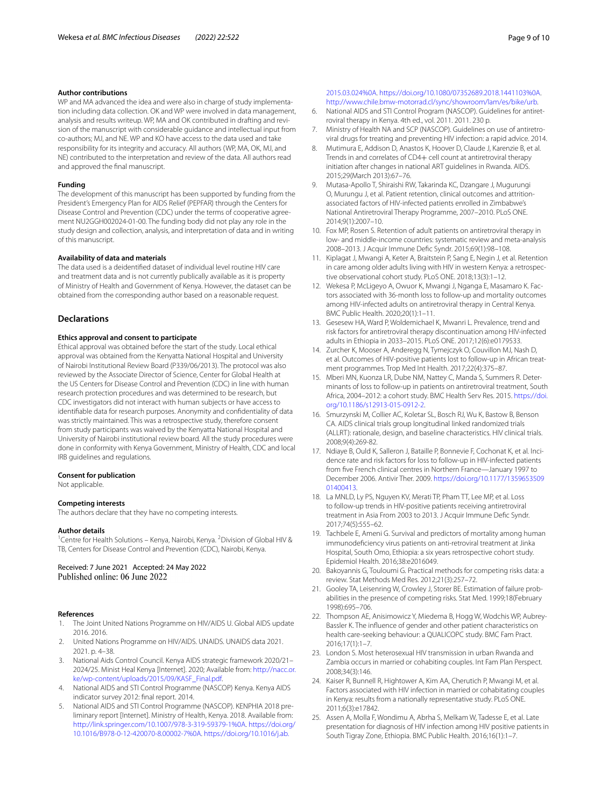#### **Author contributions**

WP and MA advanced the idea and were also in charge of study implementation including data collection. OK and WP were involved in data management, analysis and results writeup. WP, MA and OK contributed in drafting and revision of the manuscript with considerable guidance and intellectual input from co-authors; MJ, and NE. WP and KO have access to the data used and take responsibility for its integrity and accuracy. All authors (WP, MA, OK, MJ, and NE) contributed to the interpretation and review of the data. All authors read and approved the fnal manuscript.

#### **Funding**

The development of this manuscript has been supported by funding from the President's Emergency Plan for AIDS Relief (PEPFAR) through the Centers for Disease Control and Prevention (CDC) under the terms of cooperative agreement NU2GGH002024-01-00. The funding body did not play any role in the study design and collection, analysis, and interpretation of data and in writing of this manuscript.

#### **Availability of data and materials**

The data used is a deidentifed dataset of individual level routine HIV care and treatment data and is not currently publically available as it is property of Ministry of Health and Government of Kenya. However, the dataset can be obtained from the corresponding author based on a reasonable request.

#### **Declarations**

#### **Ethics approval and consent to participate**

Ethical approval was obtained before the start of the study. Local ethical approval was obtained from the Kenyatta National Hospital and University of Nairobi Institutional Review Board (P339/06/2013). The protocol was also reviewed by the Associate Director of Science, Center for Global Health at the US Centers for Disease Control and Prevention (CDC) in line with human research protection procedures and was determined to be research, but CDC investigators did not interact with human subjects or have access to identifable data for research purposes. Anonymity and confdentiality of data was strictly maintained. This was a retrospective study, therefore consent from study participants was waived by the Kenyatta National Hospital and University of Nairobi institutional review board. All the study procedures were done in conformity with Kenya Government, Ministry of Health, CDC and local IRB guidelines and regulations.

#### **Consent for publication**

Not applicable.

#### **Competing interests**

The authors declare that they have no competing interests.

#### **Author details**

<sup>1</sup> Centre for Health Solutions - Kenya, Nairobi, Kenya. <sup>2</sup> Division of Global HIV & TB, Centers for Disease Control and Prevention (CDC), Nairobi, Kenya.

Received: 7 June 2021 Accepted: 24 May 2022<br>Published online: 06 June 2022

#### **References**

- <span id="page-8-0"></span>1. The Joint United Nations Programme on HIV/AIDS U. Global AIDS update 2016. 2016.
- <span id="page-8-1"></span>2. United Nations Programme on HIV/AIDS. UNAIDS. UNAIDS data 2021. 2021. p. 4–38.
- <span id="page-8-2"></span>3. National Aids Control Council. Kenya AIDS strategic framework 2020/21– 2024/25. Minist Heal Kenya [Internet]. 2020; Available from: [http://nacc.or.](http://nacc.or.ke/wp-content/uploads/2015/09/KASF_Final.pdf) [ke/wp-content/uploads/2015/09/KASF\\_Final.pdf](http://nacc.or.ke/wp-content/uploads/2015/09/KASF_Final.pdf).
- <span id="page-8-3"></span>4. National AIDS and STI Control Programme (NASCOP) Kenya. Kenya AIDS indicator survey 2012: fnal report. 2014.
- 5. National AIDS and STI Control Programme (NASCOP). KENPHIA 2018 preliminary report [Internet]. Ministry of Health, Kenya. 2018. Available from: [http://link.springer.com/10.1007/978-3-319-59379-1%0A.](http://link.springer.com/10.1007/978-3-319-59379-1%0A) [https://doi.org/](https://doi.org/10.1016/B978-0-12-420070-8.00002-7%0A) [10.1016/B978-0-12-420070-8.00002-7%0A.](https://doi.org/10.1016/B978-0-12-420070-8.00002-7%0A) [https://doi.org/10.1016/j.ab.](https://doi.org/10.1016/j.ab.2015.03.024%0A)

[2015.03.024%0A.](https://doi.org/10.1016/j.ab.2015.03.024%0A) <https://doi.org/10.1080/07352689.2018.1441103%0A>. <http://www.chile.bmw-motorrad.cl/sync/showroom/lam/es/bike/urb>.

- 6. National AIDS and STI Control Program (NASCOP). Guidelines for antiretroviral therapy in Kenya. 4th ed., vol. 2011. 2011. 230 p.
- <span id="page-8-4"></span>7. Ministry of Health NA and SCP (NASCOP). Guidelines on use of antiretroviral drugs for treating and preventing HIV infection: a rapid advice. 2014.
- <span id="page-8-5"></span>8. Mutimura E, Addison D, Anastos K, Hoover D, Claude J, Karenzie B, et al. Trends in and correlates of CD4+ cell count at antiretroviral therapy initiation after changes in national ART guidelines in Rwanda. AIDS. 2015;29(March 2013):67–76.
- <span id="page-8-6"></span>9. Mutasa-Apollo T, Shiraishi RW, Takarinda KC, Dzangare J, Mugurungi O, Murungu J, et al. Patient retention, clinical outcomes and attritionassociated factors of HIV-infected patients enrolled in Zimbabwe's National Antiretroviral Therapy Programme, 2007–2010. PLoS ONE. 2014;9(1):2007–10.
- <span id="page-8-10"></span>10. Fox MP, Rosen S. Retention of adult patients on antiretroviral therapy in low- and middle-income countries: systematic review and meta-analysis 2008–2013. J Acquir Immune Defc Syndr. 2015;69(1):98–108.
- 11. Kiplagat J, Mwangi A, Keter A, Braitstein P, Sang E, Negin J, et al. Retention in care among older adults living with HIV in western Kenya: a retrospective observational cohort study. PLoS ONE. 2018;13(3):1–12.
- <span id="page-8-7"></span>12. Wekesa P, McLigeyo A, Owuor K, Mwangi J, Nganga E, Masamaro K. Factors associated with 36-month loss to follow-up and mortality outcomes among HIV-infected adults on antiretroviral therapy in Central Kenya. BMC Public Health. 2020;20(1):1–11.
- <span id="page-8-8"></span>13. Gesesew HA, Ward P, Woldemichael K, Mwanri L. Prevalence, trend and risk factors for antiretroviral therapy discontinuation among HIV-infected adults in Ethiopia in 2033–2015. PLoS ONE. 2017;12(6):e0179533.
- <span id="page-8-9"></span>14. Zurcher K, Mooser A, Anderegg N, Tymejczyk O, Couvillon MJ, Nash D, et al. Outcomes of HIV-positive patients lost to follow-up in African treatment programmes. Trop Med Int Health. 2017;22(4):375–87.
- <span id="page-8-11"></span>15. Mberi MN, Kuonza LR, Dube NM, Nattey C, Manda S, Summers R. Determinants of loss to follow-up in patients on antiretroviral treatment, South Africa, 2004–2012: a cohort study. BMC Health Serv Res. 2015. [https://doi.](https://doi.org/10.1186/s12913-015-0912-2) [org/10.1186/s12913-015-0912-2.](https://doi.org/10.1186/s12913-015-0912-2)
- <span id="page-8-12"></span>16. Smurzynski M, Collier AC, Koletar SL, Bosch RJ, Wu K, Bastow B, Benson CA. AIDS clinical trials group longitudinal linked randomized trials (ALLRT): rationale, design, and baseline characteristics. HIV clinical trials. 2008;9(4):269-82.
- <span id="page-8-13"></span>17. Ndiaye B, Ould K, Salleron J, Bataille P, Bonnevie F, Cochonat K, et al. Incidence rate and risk factors for loss to follow-up in HIV-infected patients from fve French clinical centres in Northern France—January 1997 to December 2006. Antivir Ther. 2009. [https://doi.org/10.1177/1359653509](https://doi.org/10.1177/135965350901400413) [01400413](https://doi.org/10.1177/135965350901400413).
- <span id="page-8-14"></span>18. La MNLD, Ly PS, Nguyen KV, Merati TP, Pham TT, Lee MP, et al. Loss to follow-up trends in HIV-positive patients receiving antiretroviral treatment in Asia From 2003 to 2013. J Acquir Immune Defc Syndr. 2017;74(5):555–62.
- <span id="page-8-15"></span>19. Tachbele E, Ameni G. Survival and predictors of mortality among human immunodefciency virus patients on anti-retroviral treatment at Jinka Hospital, South Omo, Ethiopia: a six years retrospective cohort study. Epidemiol Health. 2016;38:e2016049.
- <span id="page-8-16"></span>20. Bakoyannis G, Touloumi G. Practical methods for competing risks data: a review. Stat Methods Med Res. 2012;21(3):257–72.
- <span id="page-8-17"></span>21. Gooley TA, Leisenring W, Crowley J, Storer BE. Estimation of failure probabilities in the presence of competing risks. Stat Med. 1999;18(February 1998):695–706.
- <span id="page-8-18"></span>22. Thompson AE, Anisimowicz Y, Miedema B, Hogg W, Wodchis WP, Aubrey-Bassler K. The infuence of gender and other patient characteristics on health care-seeking behaviour: a QUALICOPC study. BMC Fam Pract. 2016;17(1):1–7.
- <span id="page-8-19"></span>23. London S. Most heterosexual HIV transmission in urban Rwanda and Zambia occurs in married or cohabiting couples. Int Fam Plan Perspect. 2008;34(3):146.
- <span id="page-8-20"></span>24. Kaiser R, Bunnell R, Hightower A, Kim AA, Cherutich P, Mwangi M, et al. Factors associated with HIV infection in married or cohabitating couples in Kenya: results from a nationally representative study. PLoS ONE. 2011;6(3):e17842.
- <span id="page-8-21"></span>25. Assen A, Molla F, Wondimu A, Abrha S, Melkam W, Tadesse E, et al. Late presentation for diagnosis of HIV infection among HIV positive patients in South Tigray Zone, Ethiopia. BMC Public Health. 2016;16(1):1–7.